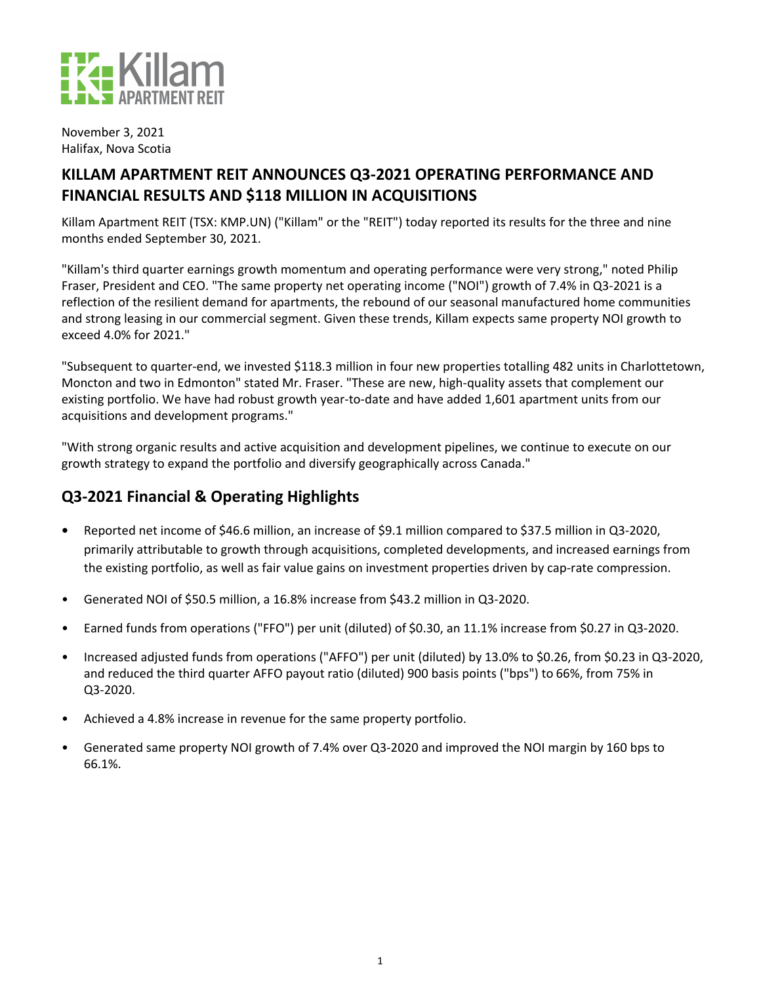

November 3, 2021 Halifax, Nova Scotia

# KILLAM APARTMENT REIT ANNOUNCES Q3-2021 OPERATING PERFORMANCE AND **FINANCIAL RESULTS AND \$118 MILLION IN ACQUISITIONS**

Killam Apartment REIT (TSX: KMP.UN) ("Killam" or the "REIT") today reported its results for the three and nine months ended September 30, 2021.

"Killam's third quarter earnings growth momentum and operating performance were very strong," noted Philip Fraser, President and CEO. "The same property net operating income ("NOI") growth of 7.4% in Q3-2021 is a reflection of the resilient demand for apartments, the rebound of our seasonal manufactured home communities and strong leasing in our commercial segment. Given these trends, Killam expects same property NOI growth to exceed 4.0% for 2021."

"Subsequent to quarter-end, we invested \$118.3 million in four new properties totalling 482 units in Charlottetown, Moncton and two in Edmonton" stated Mr. Fraser. "These are new, high-quality assets that complement our existing portfolio. We have had robust growth year-to-date and have added 1,601 apartment units from our acquisitions and development programs."

"With strong organic results and active acquisition and development pipelines, we continue to execute on our growth strategy to expand the portfolio and diversify geographically across Canada."

# **Q3-2021 Financial & Operating Highlights**

- Reported net income of \$46.6 million, an increase of \$9.1 million compared to \$37.5 million in Q3-2020, primarily attributable to growth through acquisitions, completed developments, and increased earnings from the existing portfolio, as well as fair value gains on investment properties driven by cap-rate compression.
- Generated NOI of \$50.5 million, a 16.8% increase from \$43.2 million in Q3-2020.
- Earned funds from operations ("FFO") per unit (diluted) of \$0.30, an 11.1% increase from \$0.27 in Q3-2020.
- Increased adjusted funds from operations ("AFFO") per unit (diluted) by 13.0% to \$0.26, from \$0.23 in Q3-2020, and reduced the third quarter AFFO payout ratio (diluted) 900 basis points ("bps") to 66%, from 75% in Q3-2020.
- Achieved a 4.8% increase in revenue for the same property portfolio.
- Generated same property NOI growth of 7.4% over Q3-2020 and improved the NOI margin by 160 bps to 66.1%.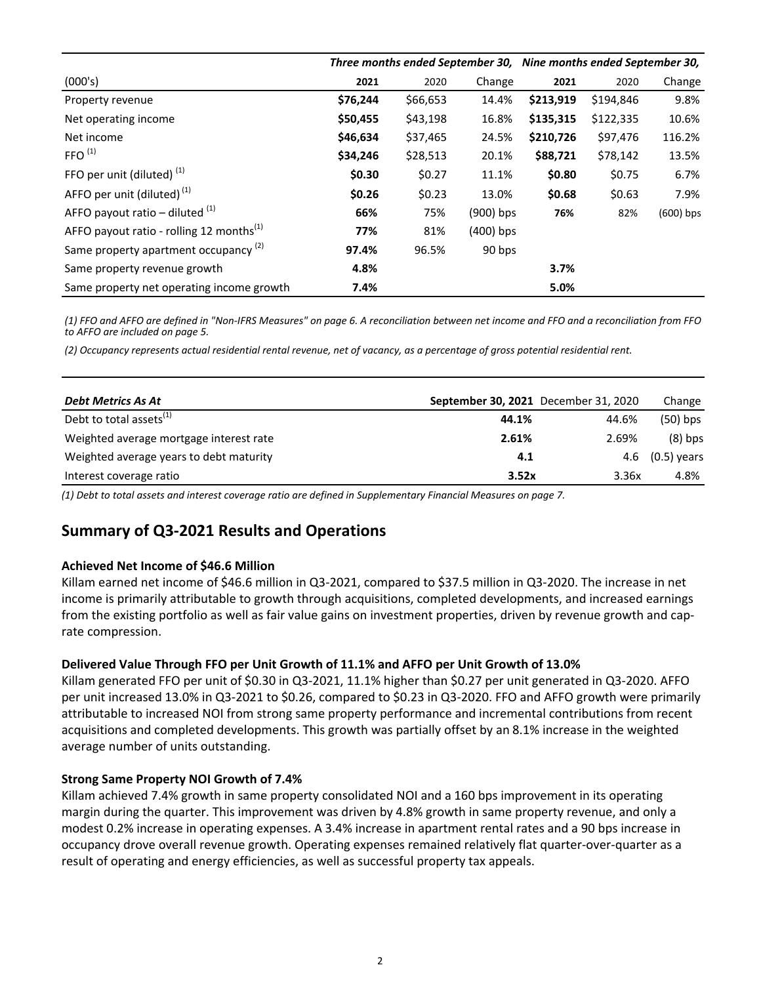|                                                      | Three months ended September 30, Nine months ended September 30, |          |             |           |           |             |
|------------------------------------------------------|------------------------------------------------------------------|----------|-------------|-----------|-----------|-------------|
| (000's)                                              | 2021                                                             | 2020     | Change      | 2021      | 2020      | Change      |
| Property revenue                                     | \$76,244                                                         | \$66,653 | 14.4%       | \$213,919 | \$194,846 | 9.8%        |
| Net operating income                                 | \$50,455                                                         | \$43,198 | 16.8%       | \$135,315 | \$122,335 | 10.6%       |
| Net income                                           | \$46,634                                                         | \$37,465 | 24.5%       | \$210,726 | \$97,476  | 116.2%      |
| FFO <sup>(1)</sup>                                   | \$34,246                                                         | \$28,513 | 20.1%       | \$88,721  | \$78,142  | 13.5%       |
| FFO per unit (diluted) <sup>(1)</sup>                | \$0.30                                                           | \$0.27   | 11.1%       | \$0.80    | \$0.75    | 6.7%        |
| AFFO per unit (diluted) <sup>(1)</sup>               | \$0.26                                                           | \$0.23   | 13.0%       | \$0.68    | \$0.63    | 7.9%        |
| AFFO payout ratio – diluted $(1)$                    | 66%                                                              | 75%      | $(900)$ bps | 76%       | 82%       | $(600)$ bps |
| AFFO payout ratio - rolling 12 months <sup>(1)</sup> | 77%                                                              | 81%      | (400) bps   |           |           |             |
| Same property apartment occupancy <sup>(2)</sup>     | 97.4%                                                            | 96.5%    | 90 bps      |           |           |             |
| Same property revenue growth                         | 4.8%                                                             |          |             | 3.7%      |           |             |
| Same property net operating income growth            | 7.4%                                                             |          |             | 5.0%      |           |             |

(1) FFO and AFFO are defined in "Non-IFRS Measures" on page 6. A reconciliation between net income and FFO and a reconciliation from FFO *to AFFO are included on page 5.*

*(2) Occupancy represents actual residential rental revenue, net of vacancy, as a percentage of gross potential residential rent.*

| Debt Metrics As At                      | September 30, 2021 December 31, 2020 |       | Change            |
|-----------------------------------------|--------------------------------------|-------|-------------------|
| Debt to total assets <sup>(1)</sup>     | 44.1%                                | 44.6% | $(50)$ bps        |
| Weighted average mortgage interest rate | 2.61%                                | 2.69% | $(8)$ bps         |
| Weighted average years to debt maturity | 4.1                                  |       | 4.6 $(0.5)$ years |
| Interest coverage ratio                 | 3.52x                                | 3.36x | 4.8%              |

*(1) Debt to total assets and interest coverage ratio are defined in Supplementary Financial Measures on page 7.*

## **Summary of Q3-2021 Results and Operations**

#### **Achieved Net Income of \$46.6 Million**

Killam earned net income of \$46.6 million in Q3-2021, compared to \$37.5 million in Q3-2020. The increase in net income is primarily attributable to growth through acquisitions, completed developments, and increased earnings from the existing portfolio as well as fair value gains on investment properties, driven by revenue growth and caprate compression.

#### Delivered Value Through FFO per Unit Growth of 11.1% and AFFO per Unit Growth of 13.0%

Killam generated FFO per unit of \$0.30 in Q3-2021, 11.1% higher than \$0.27 per unit generated in Q3-2020. AFFO per unit increased 13.0% in Q3-2021 to \$0.26, compared to \$0.23 in Q3-2020. FFO and AFFO growth were primarily attributable to increased NOI from strong same property performance and incremental contributions from recent acquisitions and completed developments. This growth was partially offset by an 8.1% increase in the weighted average number of units outstanding.

#### **Strong Same Property NOI Growth of 7.4%**

Killam achieved 7.4% growth in same property consolidated NOI and a 160 bps improvement in its operating margin during the quarter. This improvement was driven by 4.8% growth in same property revenue, and only a modest 0.2% increase in operating expenses. A 3.4% increase in apartment rental rates and a 90 bps increase in occupancy drove overall revenue growth. Operating expenses remained relatively flat quarter-over-quarter as a result of operating and energy efficiencies, as well as successful property tax appeals.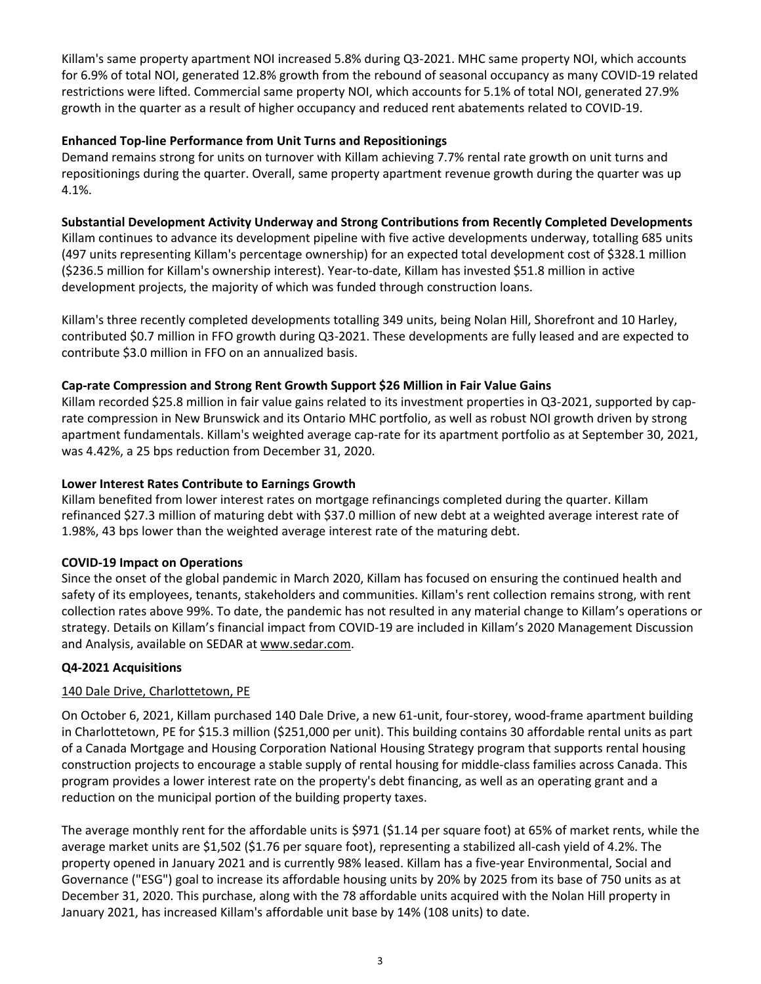Killam's same property apartment NOI increased 5.8% during Q3-2021. MHC same property NOI, which accounts for 6.9% of total NOI, generated 12.8% growth from the rebound of seasonal occupancy as many COVID-19 related restrictions were lifted. Commercial same property NOI, which accounts for 5.1% of total NOI, generated 27.9% growth in the quarter as a result of higher occupancy and reduced rent abatements related to COVID-19.

### **Enhanced Top-line Performance from Unit Turns and Repositionings**

Demand remains strong for units on turnover with Killam achieving 7.7% rental rate growth on unit turns and repositionings during the quarter. Overall, same property apartment revenue growth during the quarter was up 4.1%.

### Substantial Development Activity Underway and Strong Contributions from Recently Completed Developments

Killam continues to advance its development pipeline with five active developments underway, totalling 685 units (497 units representing Killam's percentage ownership) for an expected total development cost of \$328.1 million (\$236.5 million for Killam's ownership interest). Year-to-date, Killam has invested \$51.8 million in active development projects, the majority of which was funded through construction loans.

Killam's three recently completed developments totalling 349 units, being Nolan Hill, Shorefront and 10 Harley, contributed \$0.7 million in FFO growth during Q3-2021. These developments are fully leased and are expected to contribute \$3.0 million in FFO on an annualized basis.

### **Cap-rate Compression and Strong Rent Growth Support \$26 Million in Fair Value Gains**

Killam recorded \$25.8 million in fair value gains related to its investment properties in Q3-2021, supported by caprate compression in New Brunswick and its Ontario MHC portfolio, as well as robust NOI growth driven by strong apartment fundamentals. Killam's weighted average cap-rate for its apartment portfolio as at September 30, 2021, was 4.42%, a 25 bps reduction from December 31, 2020.

#### Lower Interest Rates Contribute to Earnings Growth

Killam benefited from lower interest rates on mortgage refinancings completed during the quarter. Killam refinanced \$27.3 million of maturing debt with \$37.0 million of new debt at a weighted average interest rate of 1.98%, 43 bps lower than the weighted average interest rate of the maturing debt.

#### **COVID-19 Impact on Operations**

Since the onset of the global pandemic in March 2020, Killam has focused on ensuring the continued health and safety of its employees, tenants, stakeholders and communities. Killam's rent collection remains strong, with rent collection rates above 99%. To date, the pandemic has not resulted in any material change to Killam's operations or strategy. Details on Killam's financial impact from COVID-19 are included in Killam's 2020 Management Discussion and Analysis, available on SEDAR at www.sedar.com.

#### **Q4-2021 Acquisitions**

## 140 Dale Drive, Charlottetown, PE

On October 6, 2021, Killam purchased 140 Dale Drive, a new 61-unit, four-storey, wood-frame apartment building in Charlottetown, PE for \$15.3 million (\$251,000 per unit). This building contains 30 affordable rental units as part of a Canada Mortgage and Housing Corporation National Housing Strategy program that supports rental housing construction projects to encourage a stable supply of rental housing for middle-class families across Canada. This program provides a lower interest rate on the property's debt financing, as well as an operating grant and a reduction on the municipal portion of the building property taxes.

The average monthly rent for the affordable units is \$971 (\$1.14 per square foot) at 65% of market rents, while the average market units are \$1,502 (\$1.76 per square foot), representing a stabilized all-cash yield of 4.2%. The property opened in January 2021 and is currently 98% leased. Killam has a five-year Environmental, Social and Governance ("ESG") goal to increase its affordable housing units by 20% by 2025 from its base of 750 units as at December 31, 2020. This purchase, along with the 78 affordable units acquired with the Nolan Hill property in January 2021, has increased Killam's affordable unit base by 14% (108 units) to date.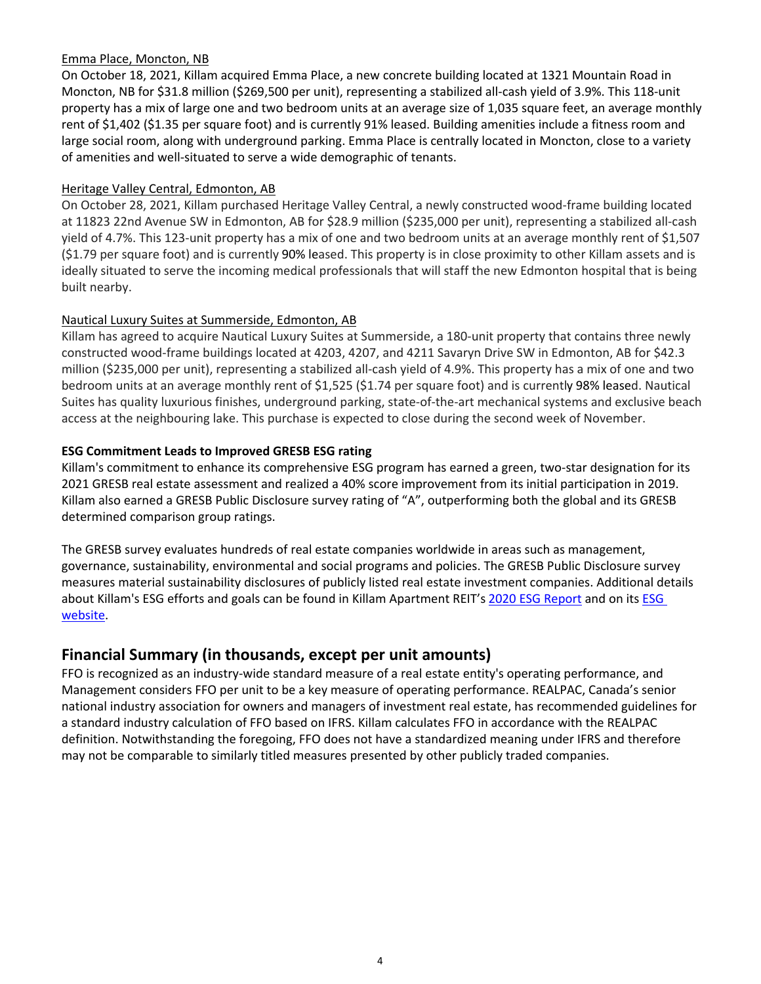### Emma Place, Moncton, NB

On October 18, 2021, Killam acquired Emma Place, a new concrete building located at 1321 Mountain Road in Moncton, NB for \$31.8 million (\$269,500 per unit), representing a stabilized all-cash yield of 3.9%. This 118-unit property has a mix of large one and two bedroom units at an average size of 1,035 square feet, an average monthly rent of \$1,402 (\$1.35 per square foot) and is currently 91% leased. Building amenities include a fitness room and large social room, along with underground parking. Emma Place is centrally located in Moncton, close to a variety of amenities and well-situated to serve a wide demographic of tenants.

#### Heritage Valley Central, Edmonton, AB

On October 28, 2021, Killam purchased Heritage Valley Central, a newly constructed wood-frame building located at 11823 22nd Avenue SW in Edmonton, AB for \$28.9 million (\$235,000 per unit), representing a stabilized all-cash yield of 4.7%. This 123-unit property has a mix of one and two bedroom units at an average monthly rent of \$1,507 (\$1.79 per square foot) and is currently 90% leased. This property is in close proximity to other Killam assets and is ideally situated to serve the incoming medical professionals that will staff the new Edmonton hospital that is being built nearby.

### Nautical Luxury Suites at Summerside, Edmonton, AB

Killam has agreed to acquire Nautical Luxury Suites at Summerside, a 180-unit property that contains three newly constructed wood-frame buildings located at 4203, 4207, and 4211 Savaryn Drive SW in Edmonton, AB for \$42.3 million (\$235,000 per unit), representing a stabilized all-cash yield of 4.9%. This property has a mix of one and two bedroom units at an average monthly rent of \$1,525 (\$1.74 per square foot) and is currently 98% leased. Nautical Suites has quality luxurious finishes, underground parking, state-of-the-art mechanical systems and exclusive beach access at the neighbouring lake. This purchase is expected to close during the second week of November.

### **ESG Commitment Leads to Improved GRESB ESG rating**

Killam's commitment to enhance its comprehensive ESG program has earned a green, two-star designation for its 2021 GRESB real estate assessment and realized a 40% score improvement from its initial participation in 2019. Killam also earned a GRESB Public Disclosure survey rating of "A", outperforming both the global and its GRESB determined comparison group ratings.

The GRESB survey evaluates hundreds of real estate companies worldwide in areas such as management, governance, sustainability, environmental and social programs and policies. The GRESB Public Disclosure survey measures material sustainability disclosures of publicly listed real estate investment companies. Additional details about Killam's ESG efforts and goals can be found in Killam Apartment REIT's 2020 ESG Report and on its ESG [website.](https://killamreit.com/esg/environmental)

## **Financial Summary (in thousands, except per unit amounts)**

FFO is recognized as an industry-wide standard measure of a real estate entity's operating performance, and Management considers FFO per unit to be a key measure of operating performance. REALPAC, Canada's senior national industry association for owners and managers of investment real estate, has recommended guidelines for a standard industry calculation of FFO based on IFRS. Killam calculates FFO in accordance with the REALPAC definition. Notwithstanding the foregoing, FFO does not have a standardized meaning under IFRS and therefore may not be comparable to similarly titled measures presented by other publicly traded companies.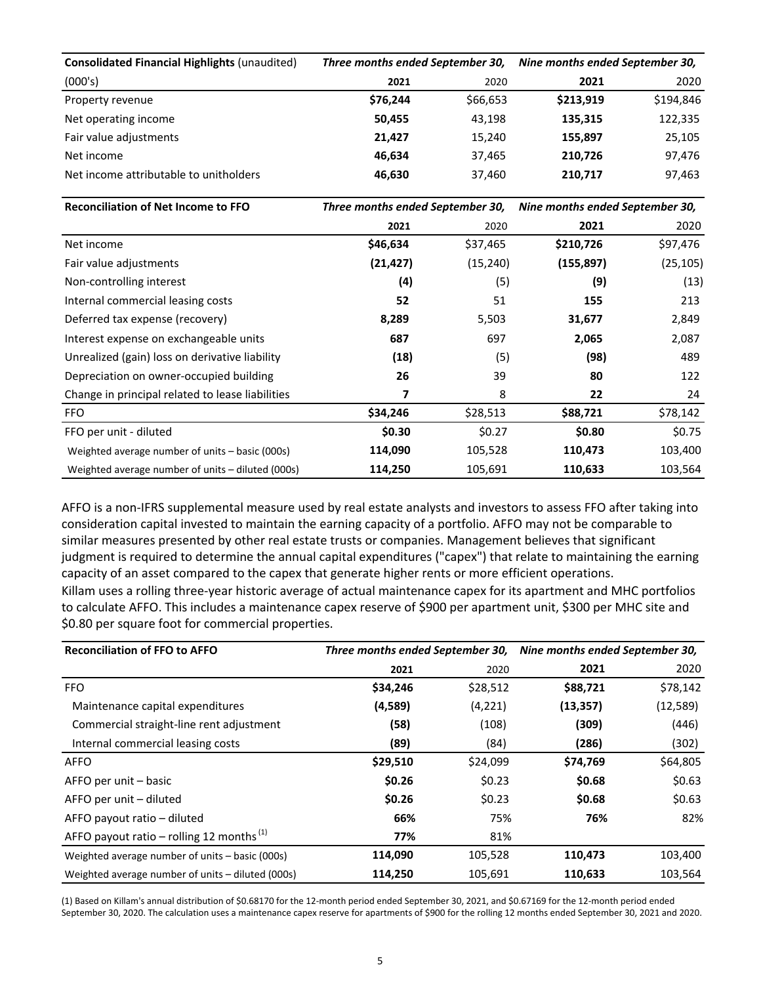| <b>Consolidated Financial Highlights (unaudited)</b> | Three months ended September 30, |          | Nine months ended September 30, |           |
|------------------------------------------------------|----------------------------------|----------|---------------------------------|-----------|
| (000's)                                              | 2021                             | 2020     | 2021                            | 2020      |
| Property revenue                                     | \$76.244                         | \$66,653 | \$213,919                       | \$194,846 |
| Net operating income                                 | 50,455                           | 43,198   | 135,315                         | 122,335   |
| Fair value adjustments                               | 21.427                           | 15,240   | 155,897                         | 25,105    |
| Net income                                           | 46.634                           | 37,465   | 210.726                         | 97,476    |
| Net income attributable to unitholders               | 46.630                           | 37,460   | 210,717                         | 97,463    |

| <b>Reconciliation of Net Income to FFO</b>        | Three months ended September 30, |           | Nine months ended September 30, |           |
|---------------------------------------------------|----------------------------------|-----------|---------------------------------|-----------|
|                                                   | 2021                             | 2020      | 2021                            | 2020      |
| Net income                                        | \$46,634                         | \$37,465  | \$210,726                       | \$97,476  |
| Fair value adjustments                            | (21, 427)                        | (15, 240) | (155, 897)                      | (25, 105) |
| Non-controlling interest                          | (4)                              | (5)       | (9)                             | (13)      |
| Internal commercial leasing costs                 | 52                               | 51        | 155                             | 213       |
| Deferred tax expense (recovery)                   | 8,289                            | 5,503     | 31,677                          | 2,849     |
| Interest expense on exchangeable units            | 687                              | 697       | 2,065                           | 2,087     |
| Unrealized (gain) loss on derivative liability    | (18)                             | (5)       | (98)                            | 489       |
| Depreciation on owner-occupied building           | 26                               | 39        | 80                              | 122       |
| Change in principal related to lease liabilities  | 7                                | 8         | 22                              | 24        |
| <b>FFO</b>                                        | \$34,246                         | \$28,513  | \$88,721                        | \$78,142  |
| FFO per unit - diluted                            | \$0.30                           | \$0.27    | \$0.80                          | \$0.75    |
| Weighted average number of units – basic (000s)   | 114,090                          | 105,528   | 110,473                         | 103,400   |
| Weighted average number of units – diluted (000s) | 114,250                          | 105,691   | 110,633                         | 103,564   |

AFFO is a non-IFRS supplemental measure used by real estate analysts and investors to assess FFO after taking into consideration capital invested to maintain the earning capacity of a portfolio. AFFO may not be comparable to similar measures presented by other real estate trusts or companies. Management believes that significant judgment is required to determine the annual capital expenditures ("capex") that relate to maintaining the earning capacity of an asset compared to the capex that generate higher rents or more efficient operations. Killam uses a rolling three-year historic average of actual maintenance capex for its apartment and MHC portfolios to calculate AFFO. This includes a maintenance capex reserve of \$900 per apartment unit, \$300 per MHC site and \$0.80 per square foot for commercial properties.

| <b>Reconciliation of FFO to AFFO</b>                 |          |          | Three months ended September 30, Nine months ended September 30, |           |  |
|------------------------------------------------------|----------|----------|------------------------------------------------------------------|-----------|--|
|                                                      | 2021     | 2020     | 2021                                                             | 2020      |  |
| <b>FFO</b>                                           | \$34,246 | \$28,512 | \$88,721                                                         | \$78,142  |  |
| Maintenance capital expenditures                     | (4,589)  | (4,221)  | (13, 357)                                                        | (12, 589) |  |
| Commercial straight-line rent adjustment             | (58)     | (108)    | (309)                                                            | (446)     |  |
| Internal commercial leasing costs                    | (89)     | (84)     | (286)                                                            | (302)     |  |
| <b>AFFO</b>                                          | \$29,510 | \$24,099 | \$74,769                                                         | \$64,805  |  |
| AFFO per unit – basic                                | \$0.26   | \$0.23   | \$0.68                                                           | \$0.63    |  |
| AFFO per unit - diluted                              | \$0.26   | \$0.23   | \$0.68                                                           | \$0.63    |  |
| AFFO payout ratio - diluted                          | 66%      | 75%      | 76%                                                              | 82%       |  |
| AFFO payout ratio – rolling 12 months <sup>(1)</sup> | 77%      | 81%      |                                                                  |           |  |
| Weighted average number of units - basic (000s)      | 114,090  | 105,528  | 110,473                                                          | 103,400   |  |
| Weighted average number of units – diluted (000s)    | 114,250  | 105,691  | 110,633                                                          | 103,564   |  |

(1) Based on Killam's annual distribution of \$0.68170 for the 12-month period ended September 30, 2021, and \$0.67169 for the 12-month period ended September 30, 2020. The calculation uses a maintenance capex reserve for apartments of \$900 for the rolling 12 months ended September 30, 2021 and 2020.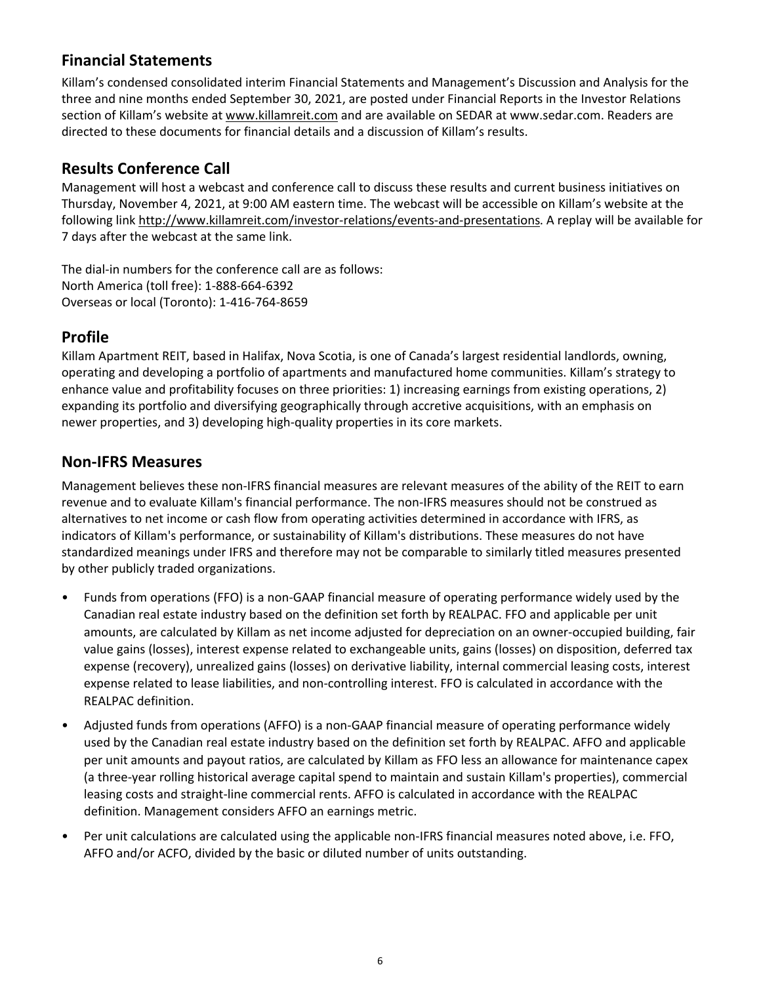## **Financial Statements**

Killam's condensed consolidated interim Financial Statements and Management's Discussion and Analysis for the three and nine months ended September 30, 2021, are posted under Financial Reports in the Investor Relations section of Killam's website at www.killamreit.com and are available on SEDAR at www.sedar.com. Readers are directed to these documents for financial details and a discussion of Killam's results.

## **Results Conference Call**

Management will host a webcast and conference call to discuss these results and current business initiatives on Thursday, November 4, 2021, at 9:00 AM eastern time. The webcast will be accessible on Killam's website at the following link http://www.killamreit.com/investor-relations/events-and-presentations. A replay will be available for 7 days after the webcast at the same link.

The dial-in numbers for the conference call are as follows: North America (toll free): 1-888-664-6392 Overseas or local (Toronto): 1-416-764-8659

## **Profile**

Killam Apartment REIT, based in Halifax, Nova Scotia, is one of Canada's largest residential landlords, owning, operating and developing a portfolio of apartments and manufactured home communities. Killam's strategy to enhance value and profitability focuses on three priorities: 1) increasing earnings from existing operations, 2) expanding its portfolio and diversifying geographically through accretive acquisitions, with an emphasis on newer properties, and 3) developing high-quality properties in its core markets.

## **Non-IFRS Measures**

Management believes these non-IFRS financial measures are relevant measures of the ability of the REIT to earn revenue and to evaluate Killam's financial performance. The non-IFRS measures should not be construed as alternatives to net income or cash flow from operating activities determined in accordance with IFRS, as indicators of Killam's performance, or sustainability of Killam's distributions. These measures do not have standardized meanings under IFRS and therefore may not be comparable to similarly titled measures presented by other publicly traded organizations.

- Funds from operations (FFO) is a non-GAAP financial measure of operating performance widely used by the Canadian real estate industry based on the definition set forth by REALPAC. FFO and applicable per unit amounts, are calculated by Killam as net income adjusted for depreciation on an owner-occupied building, fair value gains (losses), interest expense related to exchangeable units, gains (losses) on disposition, deferred tax expense (recovery), unrealized gains (losses) on derivative liability, internal commercial leasing costs, interest expense related to lease liabilities, and non-controlling interest. FFO is calculated in accordance with the REALPAC definition.
- Adjusted funds from operations (AFFO) is a non-GAAP financial measure of operating performance widely used by the Canadian real estate industry based on the definition set forth by REALPAC. AFFO and applicable per unit amounts and payout ratios, are calculated by Killam as FFO less an allowance for maintenance capex (a three-year rolling historical average capital spend to maintain and sustain Killam's properties), commercial leasing costs and straight-line commercial rents. AFFO is calculated in accordance with the REALPAC definition. Management considers AFFO an earnings metric.
- Per unit calculations are calculated using the applicable non-IFRS financial measures noted above, i.e. FFO, AFFO and/or ACFO, divided by the basic or diluted number of units outstanding.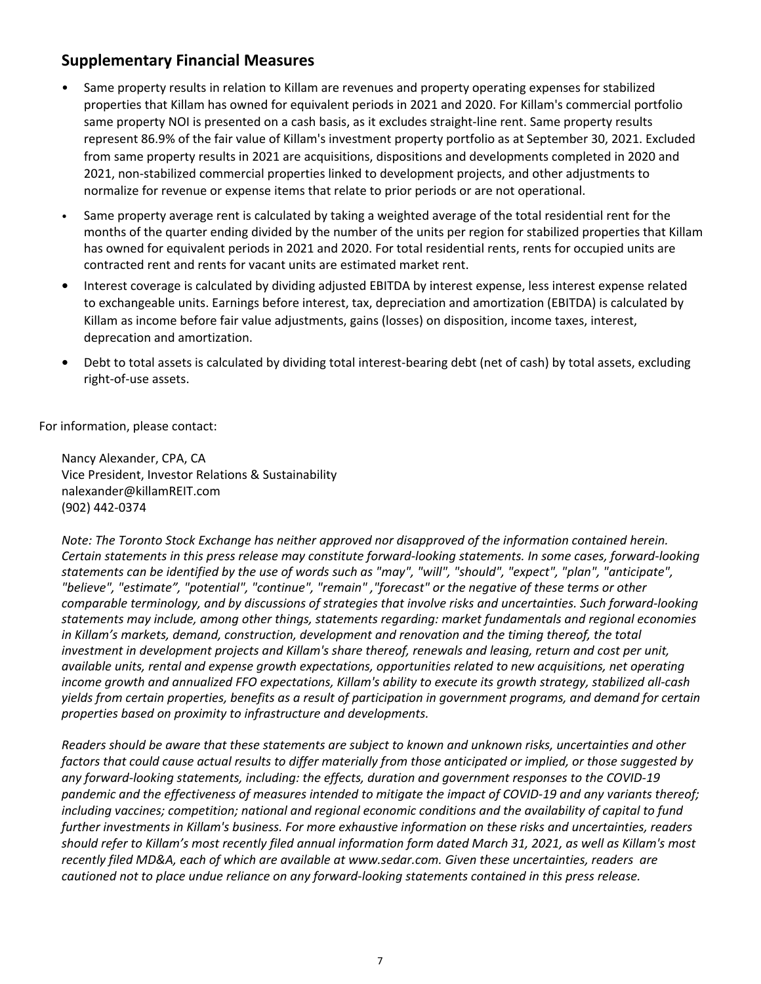## **Supplementary Financial Measures**

- Same property results in relation to Killam are revenues and property operating expenses for stabilized properties that Killam has owned for equivalent periods in 2021 and 2020. For Killam's commercial portfolio same property NOI is presented on a cash basis, as it excludes straight-line rent. Same property results represent 86.9% of the fair value of Killam's investment property portfolio as at September 30, 2021. Excluded from same property results in 2021 are acquisitions, dispositions and developments completed in 2020 and 2021, non-stabilized commercial properties linked to development projects, and other adjustments to normalize for revenue or expense items that relate to prior periods or are not operational.
- Same property average rent is calculated by taking a weighted average of the total residential rent for the months of the quarter ending divided by the number of the units per region for stabilized properties that Killam has owned for equivalent periods in 2021 and 2020. For total residential rents, rents for occupied units are contracted rent and rents for vacant units are estimated market rent.
- Interest coverage is calculated by dividing adjusted EBITDA by interest expense, less interest expense related to exchangeable units. Earnings before interest, tax, depreciation and amortization (EBITDA) is calculated by Killam as income before fair value adjustments, gains (losses) on disposition, income taxes, interest, deprecation and amortization.
- Debt to total assets is calculated by dividing total interest-bearing debt (net of cash) by total assets, excluding right-of-use assets.

For information, please contact:

Nancy Alexander, CPA, CA Vice President, Investor Relations & Sustainability nalexander@killamREIT.com (902) 442-0374 

*Note:* The Toronto Stock Exchange has neither approved nor disapproved of the information contained herein. *Certain statements in this press release may constitute forward-looking statements. In some cases, forward-looking* statements can be identified by the use of words such as "may", "will", "should", "expect", "plan", "anticipate", "believe", "estimate", "potential", "continue", "remain", "forecast" or the negative of these terms or other *comparable terminology, and by discussions of strategies that involve risks and uncertainties. Such forward-looking* statements may include, among other things, statements regarding: market fundamentals and regional economies in Killam's markets, demand, construction, development and renovation and the timing thereof, the total *investment in development projects and Killam's share thereof, renewals and leasing, return and cost per unit, available units, rental and expense growth expectations, opportunities related to new acquisitions, net operating income growth and annualized FFO expectations, Killam's ability to execute its growth strategy, stabilized all-cash* yields from certain properties, benefits as a result of participation in government programs, and demand for certain properties based on proximity to infrastructure and developments.

*Readers* should be aware that these statements are subject to known and unknown risks, uncertainties and other *factors* that could cause actual results to differ materially from those anticipated or implied, or those suggested by any forward-looking statements, including: the effects, duration and government responses to the COVID-19 pandemic and the effectiveness of measures intended to mitigate the impact of COVID-19 and any variants thereof; *including vaccines; competition; national and regional economic conditions and the availability of capital to fund further investments in Killam's business. For more exhaustive information on these risks and uncertainties, readers* should refer to Killam's most recently filed annual information form dated March 31, 2021, as well as Killam's most recently filed MD&A, each of which are available at www.sedar.com. Given these uncertainties, readers are *cautioned not to place undue reliance on any forward-looking statements contained in this press release.*